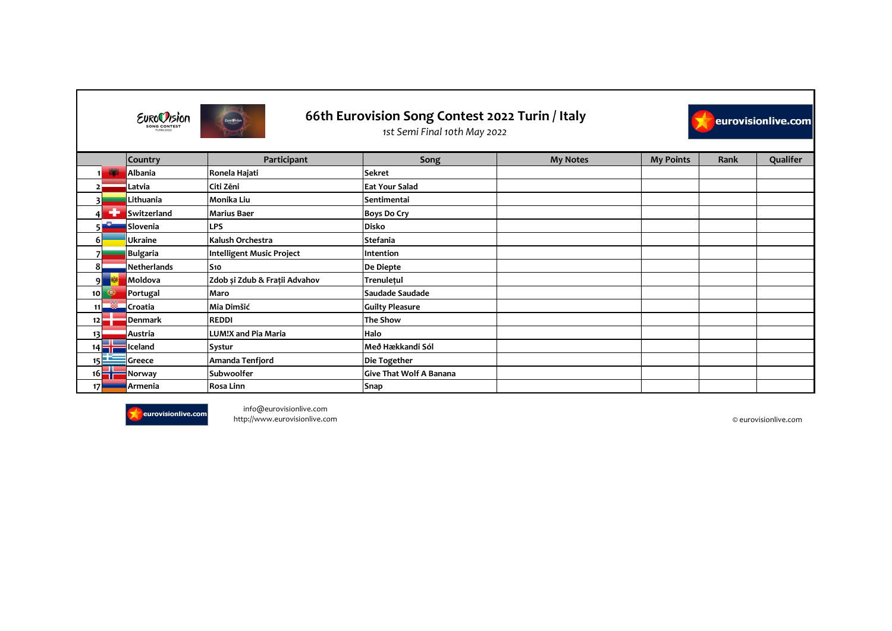|                  |                     | <b>Country</b>     | Participant                   | Song                           | <b>My Notes</b> | <b>My Points</b> | Rank | Qualifer |
|------------------|---------------------|--------------------|-------------------------------|--------------------------------|-----------------|------------------|------|----------|
|                  |                     | Albania            | Ronela Hajati                 | <b>Sekret</b>                  |                 |                  |      |          |
|                  |                     | Latvia             | Citi Zēni                     | <b>Eat Your Salad</b>          |                 |                  |      |          |
|                  |                     | Lithuania          | Monika Liu                    | Sentimentai                    |                 |                  |      |          |
| 41               | 45                  | Switzerland        | <b>Marius Baer</b>            | <b>Boys Do Cry</b>             |                 |                  |      |          |
| 51               | -8                  | Slovenia           | <b>LPS</b>                    | <b>Disko</b>                   |                 |                  |      |          |
| 6 I              |                     | <b>Ukraine</b>     | Kalush Orchestra              | <b>Stefania</b>                |                 |                  |      |          |
|                  |                     | <b>Bulgaria</b>    | Intelligent Music Project     | Intention                      |                 |                  |      |          |
| 8 <sup>1</sup>   |                     | <b>Netherlands</b> | S <sub>10</sub>               | De Diepte                      |                 |                  |      |          |
| 9 <sup>1</sup>   |                     | Moldova            | Zdob și Zdub & Frații Advahov | <b>Trenulețul</b>              |                 |                  |      |          |
| 10 <sup>1</sup>  | $\bigcirc$          | Portugal           | Maro                          | Saudade Saudade                |                 |                  |      |          |
|                  | 11                  | Croatia            | Mia Dimšić                    | <b>Guilty Pleasure</b>         |                 |                  |      |          |
| $12\blacksquare$ |                     | <b>Denmark</b>     | <b>REDDI</b>                  | <b>The Show</b>                |                 |                  |      |          |
| 13               |                     | Austria            | <b>LUM!X and Pia Maria</b>    | Halo                           |                 |                  |      |          |
| $14 \Box$        |                     | Iceland            | <b>Systur</b>                 | Með Hækkandi Sól               |                 |                  |      |          |
| 15L              |                     | Greece             | Amanda Tenfjord               | Die Together                   |                 |                  |      |          |
|                  | $16$ $\blacksquare$ | Norway             | Subwoolfer                    | <b>Give That Wolf A Banana</b> |                 |                  |      |          |
| 17               |                     | Armenia            | Rosa Linn                     | <b>Snap</b>                    |                 |                  |      |          |



info@eurovisionlive.com http://www.eurovisionlive.com © eurovisionlive.com

| eurovisionlive.com |          |  |  |  |  |
|--------------------|----------|--|--|--|--|
| <b>Rank</b>        | Qualifer |  |  |  |  |
|                    |          |  |  |  |  |
|                    |          |  |  |  |  |
|                    |          |  |  |  |  |
|                    |          |  |  |  |  |
|                    |          |  |  |  |  |
|                    |          |  |  |  |  |
|                    |          |  |  |  |  |
|                    |          |  |  |  |  |
|                    |          |  |  |  |  |
|                    |          |  |  |  |  |
|                    |          |  |  |  |  |
|                    |          |  |  |  |  |

| <b>EUROCUSION</b>   |  |
|---------------------|--|
| <b>SONG CONTEST</b> |  |
| <b>TURIN 2022</b>   |  |



## **66th Eurovision Song Contest 2022 Turin / Italy**



*1st Semi Final 10th May 2022*